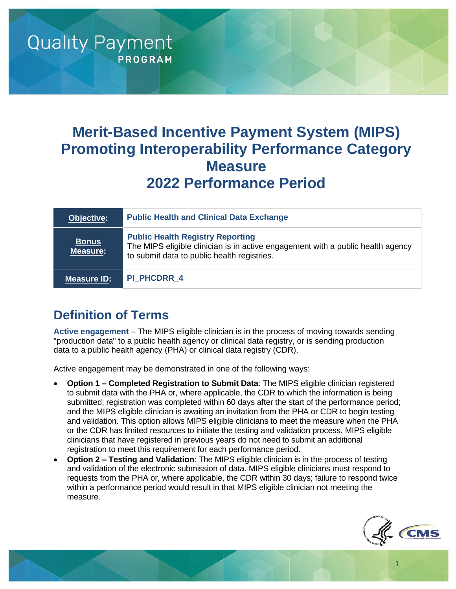# **Merit-Based Incentive Payment System (MIPS) Promoting Interoperability Performance Category Measure 2022 Performance Period**

| Objective:                      | <b>Public Health and Clinical Data Exchange</b>                                                                                                                           |
|---------------------------------|---------------------------------------------------------------------------------------------------------------------------------------------------------------------------|
| <b>Bonus</b><br><b>Measure:</b> | <b>Public Health Registry Reporting</b><br>The MIPS eligible clinician is in active engagement with a public health agency<br>to submit data to public health registries. |
| <b>Measure ID:</b>              | <b>PI PHCDRR 4</b>                                                                                                                                                        |

# **Definition of Terms**

**Quality Payment** 

**PROGRAM** 

**Active engagement** – The MIPS eligible clinician is in the process of moving towards sending "production data" to a public health agency or clinical data registry, or is sending production data to a public health agency (PHA) or clinical data registry (CDR).

Active engagement may be demonstrated in one of the following ways:

- **Option 1 – Completed Registration to Submit Data**: The MIPS eligible clinician registered to submit data with the PHA or, where applicable, the CDR to which the information is being submitted; registration was completed within 60 days after the start of the performance period; and the MIPS eligible clinician is awaiting an invitation from the PHA or CDR to begin testing and validation. This option allows MIPS eligible clinicians to meet the measure when the PHA or the CDR has limited resources to initiate the testing and validation process. MIPS eligible clinicians that have registered in previous years do not need to submit an additional registration to meet this requirement for each performance period.
- **Option 2 – Testing and Validation**: The MIPS eligible clinician is in the process of testing and validation of the electronic submission of data. MIPS eligible clinicians must respond to requests from the PHA or, where applicable, the CDR within 30 days; failure to respond twice within a performance period would result in that MIPS eligible clinician not meeting the measure.



1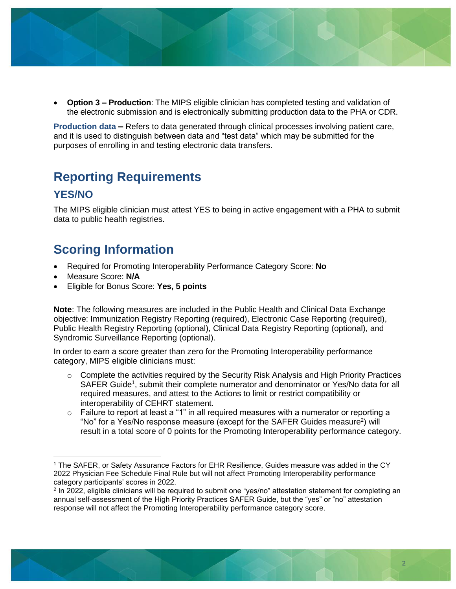

• **Option 3 – Production**: The MIPS eligible clinician has completed testing and validation of the electronic submission and is electronically submitting production data to the PHA or CDR.

**Production data –** Refers to data generated through clinical processes involving patient care, and it is used to distinguish between data and "test data" which may be submitted for the purposes of enrolling in and testing electronic data transfers.

### **Reporting Requirements**

#### **YES/NO**

The MIPS eligible clinician must attest YES to being in active engagement with a PHA to submit data to public health registries.

# **Scoring Information**

- Required for Promoting Interoperability Performance Category Score: **No**
- Measure Score: **N/A**
- Eligible for Bonus Score: **Yes, 5 points**

**Note**: The following measures are included in the Public Health and Clinical Data Exchange objective: Immunization Registry Reporting (required), Electronic Case Reporting (required), Public Health Registry Reporting (optional), Clinical Data Registry Reporting (optional), and Syndromic Surveillance Reporting (optional).

In order to earn a score greater than zero for the Promoting Interoperability performance category, MIPS eligible clinicians must:

- $\circ$  Complete the activities required by the Security Risk Analysis and High Priority Practices SAFER Guide<sup>1</sup>, submit their complete numerator and denominator or Yes/No data for all required measures, and attest to the Actions to limit or restrict compatibility or interoperability of CEHRT statement.
- o Failure to report at least a "1" in all required measures with a numerator or reporting a "No" for a Yes/No response measure (except for the SAFER Guides measure<sup>2</sup>) will result in a total score of 0 points for the Promoting Interoperability performance category.

<sup>1</sup> The SAFER, or Safety Assurance Factors for EHR Resilience, Guides measure was added in the CY 2022 Physician Fee Schedule Final Rule but will not affect Promoting Interoperability performance category participants' scores in 2022.

<sup>2</sup> In 2022, eligible clinicians will be required to submit one "yes/no" attestation statement for completing an annual self-assessment of the High Priority Practices SAFER Guide, but the "yes" or "no" attestation response will not affect the Promoting Interoperability performance category score.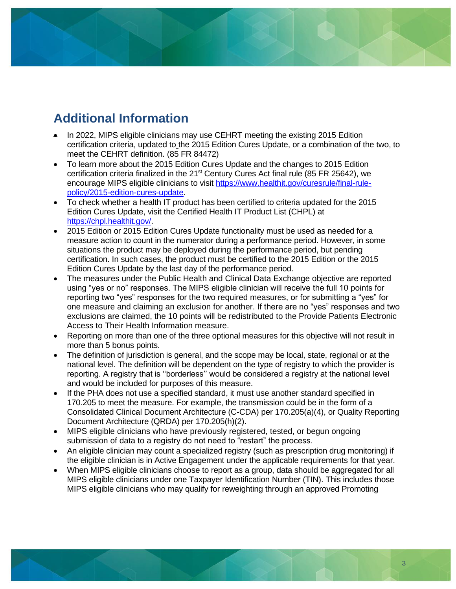# **Additional Information**

- In 2022, MIPS eligible clinicians may use CEHRT meeting the existing 2015 Edition certification criteria, updated to the 2015 Edition Cures Update, or a combination of the two, to meet the CEHRT definition. (85 FR 84472)
- To learn more about the 2015 Edition Cures Update and the changes to 2015 Edition certification criteria finalized in the 21<sup>st</sup> Century Cures Act final rule (85 FR 25642), we encourage MIPS eligible clinicians to visit [https://www.healthit.gov/curesrule/final-rule](https://www.healthit.gov/curesrule/final-rule-policy/2015-edition-cures-update)[policy/2015-edition-cures-update.](https://www.healthit.gov/curesrule/final-rule-policy/2015-edition-cures-update)
- To check whether a health IT product has been certified to criteria updated for the 2015 Edition Cures Update, visit the Certified Health IT Product List (CHPL) at [https://chpl.healthit.gov/.](https://chpl.healthit.gov/)
- 2015 Edition or 2015 Edition Cures Update functionality must be used as needed for a measure action to count in the numerator during a performance period. However, in some situations the product may be deployed during the performance period, but pending certification. In such cases, the product must be certified to the 2015 Edition or the 2015 Edition Cures Update by the last day of the performance period.
- The measures under the Public Health and Clinical Data Exchange objective are reported using "yes or no" responses. The MIPS eligible clinician will receive the full 10 points for reporting two "yes" responses for the two required measures, or for submitting a "yes" for one measure and claiming an exclusion for another. If there are no "yes" responses and two exclusions are claimed, the 10 points will be redistributed to the Provide Patients Electronic Access to Their Health Information measure.
- Reporting on more than one of the three optional measures for this objective will not result in more than 5 bonus points.
- The definition of jurisdiction is general, and the scope may be local, state, regional or at the national level. The definition will be dependent on the type of registry to which the provider is reporting. A registry that is ''borderless'' would be considered a registry at the national level and would be included for purposes of this measure.
- If the PHA does not use a specified standard, it must use another standard specified in 170.205 to meet the measure. For example, the transmission could be in the form of a Consolidated Clinical Document Architecture (C-CDA) per 170.205(a)(4), or Quality Reporting Document Architecture (QRDA) per 170.205(h)(2).
- MIPS eligible clinicians who have previously registered, tested, or begun ongoing submission of data to a registry do not need to "restart" the process.
- An eligible clinician may count a specialized registry (such as prescription drug monitoring) if the eligible clinician is in Active Engagement under the applicable requirements for that year.
- When MIPS eligible clinicians choose to report as a group, data should be aggregated for all MIPS eligible clinicians under one Taxpayer Identification Number (TIN). This includes those MIPS eligible clinicians who may qualify for reweighting through an approved Promoting